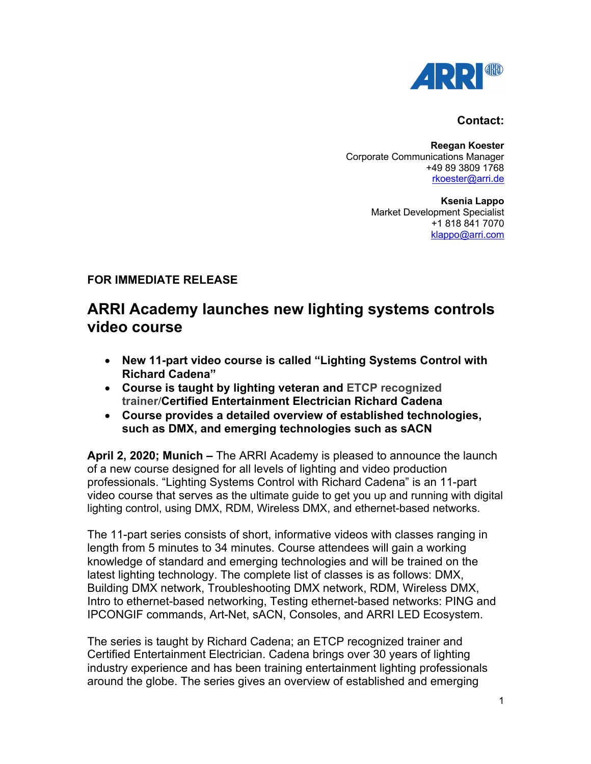

## **Contact:**

**Reegan Koester** Corporate Communications Manager +49 89 3809 1768 rkoester@arri.de

> **Ksenia Lappo** Market Development Specialist +1 818 841 7070 klappo@arri.com

## **FOR IMMEDIATE RELEASE**

## **ARRI Academy launches new lighting systems controls video course**

- **New 11-part video course is called "Lighting Systems Control with Richard Cadena"**
- **Course is taught by lighting veteran and ETCP recognized trainer/Certified Entertainment Electrician Richard Cadena**
- **Course provides a detailed overview of established technologies, such as DMX, and emerging technologies such as sACN**

**April 2, 2020; Munich –** The ARRI Academy is pleased to announce the launch of a new course designed for all levels of lighting and video production professionals. "Lighting Systems Control with Richard Cadena" is an 11-part video course that serves as the ultimate guide to get you up and running with digital lighting control, using DMX, RDM, Wireless DMX, and ethernet-based networks.

The 11-part series consists of short, informative videos with classes ranging in length from 5 minutes to 34 minutes. Course attendees will gain a working knowledge of standard and emerging technologies and will be trained on the latest lighting technology. The complete list of classes is as follows: DMX, Building DMX network, Troubleshooting DMX network, RDM, Wireless DMX, Intro to ethernet-based networking, Testing ethernet-based networks: PING and IPCONGIF commands, Art-Net, sACN, Consoles, and ARRI LED Ecosystem.

The series is taught by Richard Cadena; an ETCP recognized trainer and Certified Entertainment Electrician. Cadena brings over 30 years of lighting industry experience and has been training entertainment lighting professionals around the globe. The series gives an overview of established and emerging